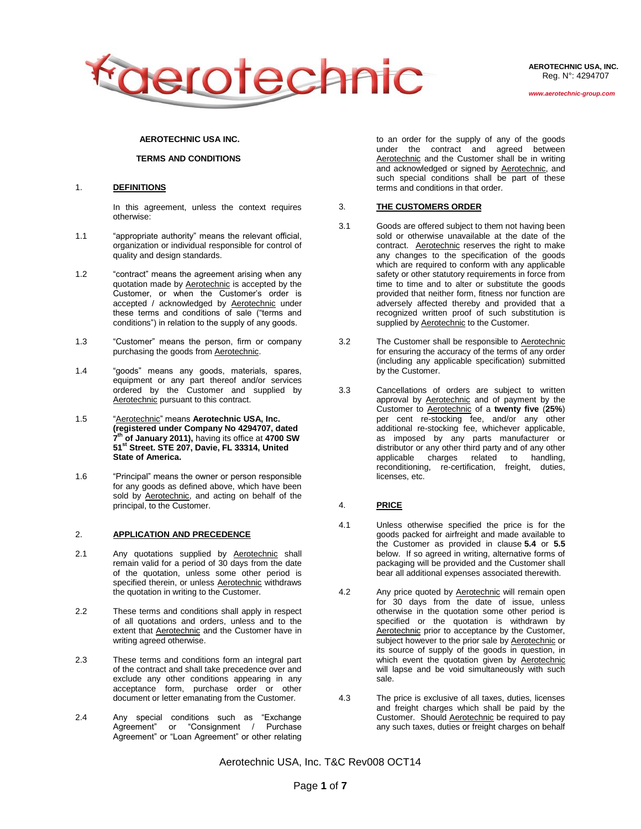

**AEROTECHNIC USA, INC.** Reg. N°: 4294707

### **AEROTECHNIC USA INC.**

## **TERMS AND CONDITIONS**

#### 1. **DEFINITIONS**

In this agreement, unless the context requires otherwise:

- 1.1 "appropriate authority" means the relevant official, organization or individual responsible for control of quality and design standards.
- 1.2 "contract" means the agreement arising when any quotation made by **Aerotechnic** is accepted by the Customer, or when the Customer's order is accepted / acknowledged by Aerotechnic under these terms and conditions of sale ("terms and conditions") in relation to the supply of any goods.
- 1.3 "Customer" means the person, firm or company purchasing the goods from Aerotechnic.
- 1.4 "goods" means any goods, materials, spares, equipment or any part thereof and/or services ordered by the Customer and supplied by Aerotechnic pursuant to this contract.
- 1.5 "Aerotechnic" means **Aerotechnic USA, Inc. (registered under Company No 4294707, dated 7 th of January 2011),** having its office at **4700 SW 51st Street. STE 207, Davie, FL 33314, United State of America.**
- 1.6 "Principal" means the owner or person responsible for any goods as defined above, which have been sold by Aerotechnic, and acting on behalf of the principal, to the Customer.

### 2. **APPLICATION AND PRECEDENCE**

- 2.1 Any quotations supplied by **Aerotechnic** shall remain valid for a period of 30 days from the date of the quotation, unless some other period is specified therein, or unless Aerotechnic withdraws the quotation in writing to the Customer.
- 2.2 These terms and conditions shall apply in respect of all quotations and orders, unless and to the extent that Aerotechnic and the Customer have in writing agreed otherwise.
- 2.3 These terms and conditions form an integral part of the contract and shall take precedence over and exclude any other conditions appearing in any acceptance form, purchase order or other document or letter emanating from the Customer.
- 2.4 Any special conditions such as "Exchange Agreement" or "Consignment / Purchase Agreement" or "Loan Agreement" or other relating

to an order for the supply of any of the goods under the contract and agreed between Aerotechnic and the Customer shall be in writing and acknowledged or signed by Aerotechnic, and such special conditions shall be part of these terms and conditions in that order.

#### 3. **THE CUSTOMERS ORDER**

- 3.1 Goods are offered subject to them not having been sold or otherwise unavailable at the date of the contract. Aerotechnic reserves the right to make any changes to the specification of the goods which are required to conform with any applicable safety or other statutory requirements in force from time to time and to alter or substitute the goods provided that neither form, fitness nor function are adversely affected thereby and provided that a recognized written proof of such substitution is supplied by **Aerotechnic** to the Customer.
- 3.2 The Customer shall be responsible to Aerotechnic for ensuring the accuracy of the terms of any order (including any applicable specification) submitted by the Customer.
- 3.3 Cancellations of orders are subject to written approval by Aerotechnic and of payment by the Customer to Aerotechnic of a **twenty five** (**25%**) per cent re-stocking fee, and/or any other additional re-stocking fee, whichever applicable, as imposed by any parts manufacturer or distributor or any other third party and of any other applicable charges related to handling, reconditioning, re-certification, freight, duties, licenses, etc.

### 4. **PRICE**

- 4.1 Unless otherwise specified the price is for the goods packed for airfreight and made available to the Customer as provided in clause **5.4** or **5.5** below. If so agreed in writing, alternative forms of packaging will be provided and the Customer shall bear all additional expenses associated therewith.
- 4.2 Any price quoted by **Aerotechnic** will remain open for 30 days from the date of issue, unless otherwise in the quotation some other period is specified or the quotation is withdrawn by Aerotechnic prior to acceptance by the Customer. subject however to the prior sale by Aerotechnic or its source of supply of the goods in question, in which event the quotation given by Aerotechnic will lapse and be void simultaneously with such sale.
- 4.3 The price is exclusive of all taxes, duties, licenses and freight charges which shall be paid by the Customer. Should Aerotechnic be required to pay any such taxes, duties or freight charges on behalf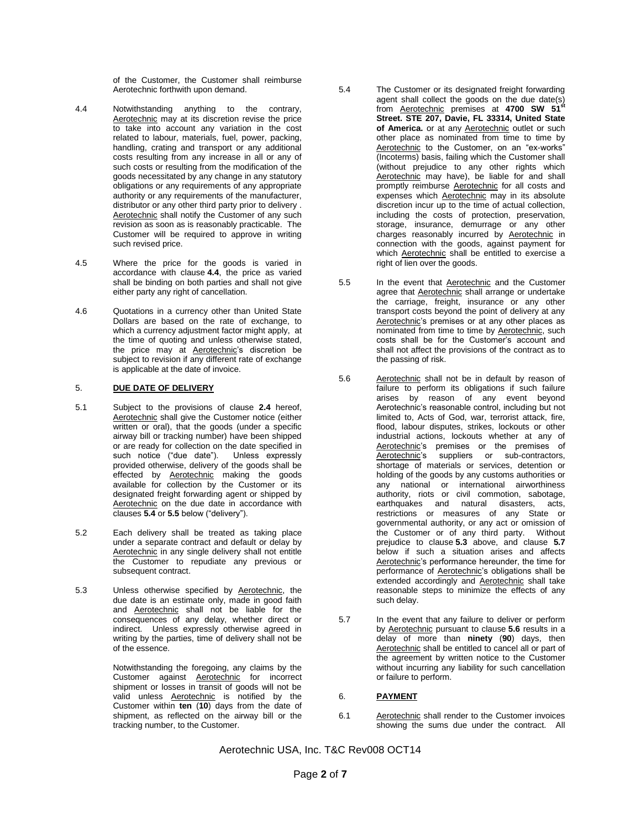of the Customer, the Customer shall reimburse Aerotechnic forthwith upon demand.

- 4.4 Notwithstanding anything to the contrary, Aerotechnic may at its discretion revise the price to take into account any variation in the cost related to labour, materials, fuel, power, packing, handling, crating and transport or any additional costs resulting from any increase in all or any of such costs or resulting from the modification of the goods necessitated by any change in any statutory obligations or any requirements of any appropriate authority or any requirements of the manufacturer, distributor or any other third party prior to delivery . Aerotechnic shall notify the Customer of any such revision as soon as is reasonably practicable. The Customer will be required to approve in writing such revised price.
- 4.5 Where the price for the goods is varied in accordance with clause **4.4**, the price as varied shall be binding on both parties and shall not give either party any right of cancellation.
- 4.6 Quotations in a currency other than United State Dollars are based on the rate of exchange, to which a currency adjustment factor might apply, at the time of quoting and unless otherwise stated, the price may at Aerotechnic's discretion be subject to revision if any different rate of exchange is applicable at the date of invoice.

### 5. **DUE DATE OF DELIVERY**

- 5.1 Subject to the provisions of clause **2.4** hereof, Aerotechnic shall give the Customer notice (either written or oral), that the goods (under a specific airway bill or tracking number) have been shipped or are ready for collection on the date specified in such notice ("due date"). Unless expressly provided otherwise, delivery of the goods shall be effected by **Aerotechnic** making the goods available for collection by the Customer or its designated freight forwarding agent or shipped by Aerotechnic on the due date in accordance with clauses **5.4** or **5.5** below ("delivery").
- 5.2 Each delivery shall be treated as taking place under a separate contract and default or delay by Aerotechnic in any single delivery shall not entitle the Customer to repudiate any previous or subsequent contract.
- 5.3 Unless otherwise specified by Aerotechnic, the due date is an estimate only, made in good faith and Aerotechnic shall not be liable for the consequences of any delay, whether direct or indirect. Unless expressly otherwise agreed in writing by the parties, time of delivery shall not be of the essence.

Notwithstanding the foregoing, any claims by the Customer against Aerotechnic for incorrect shipment or losses in transit of goods will not be valid unless Aerotechnic is notified by the Customer within **ten** (**10**) days from the date of shipment, as reflected on the airway bill or the tracking number, to the Customer.

- 5.4 The Customer or its designated freight forwarding agent shall collect the goods on the due date(s) from Aerotechnic premises at **4700 SW 51st Street. STE 207, Davie, FL 33314, United State of America.** or at any Aerotechnic outlet or such other place as nominated from time to time by Aerotechnic to the Customer, on an "ex-works" (Incoterms) basis, failing which the Customer shall (without prejudice to any other rights which Aerotechnic may have), be liable for and shall promptly reimburse Aerotechnic for all costs and expenses which Aerotechnic may in its absolute discretion incur up to the time of actual collection, including the costs of protection, preservation, storage, insurance, demurrage or any other charges reasonably incurred by Aerotechnic in connection with the goods, against payment for which Aerotechnic shall be entitled to exercise a right of lien over the goods.
- 5.5 In the event that Aerotechnic and the Customer agree that Aerotechnic shall arrange or undertake the carriage, freight, insurance or any other transport costs beyond the point of delivery at any Aerotechnic's premises or at any other places as nominated from time to time by Aerotechnic, such costs shall be for the Customer's account and shall not affect the provisions of the contract as to the passing of risk.
- 5.6 Aerotechnic shall not be in default by reason of failure to perform its obligations if such failure arises by reason of any event beyond Aerotechnic's reasonable control, including but not limited to, Acts of God, war, terrorist attack, fire, flood, labour disputes, strikes, lockouts or other industrial actions, lockouts whether at any of Aerotechnic's premises or the premises of Aerotechnic's suppliers or sub-contractors, shortage of materials or services, detention or holding of the goods by any customs authorities or any national or international airworthiness authority, riots or civil commotion, sabotage, earthquakes and natural disasters, acts, restrictions or measures of any State or governmental authority, or any act or omission of the Customer or of any third party. Without prejudice to clause **5.3** above, and clause **5.7** below if such a situation arises and affects Aerotechnic's performance hereunder, the time for performance of Aerotechnic's obligations shall be extended accordingly and Aerotechnic shall take reasonable steps to minimize the effects of any such delay.
- 5.7 In the event that any failure to deliver or perform by Aerotechnic pursuant to clause **5.6** results in a delay of more than **ninety** (**90**) days, then Aerotechnic shall be entitled to cancel all or part of the agreement by written notice to the Customer without incurring any liability for such cancellation or failure to perform.

## 6. **PAYMENT**

6.1 Aerotechnic shall render to the Customer invoices showing the sums due under the contract. All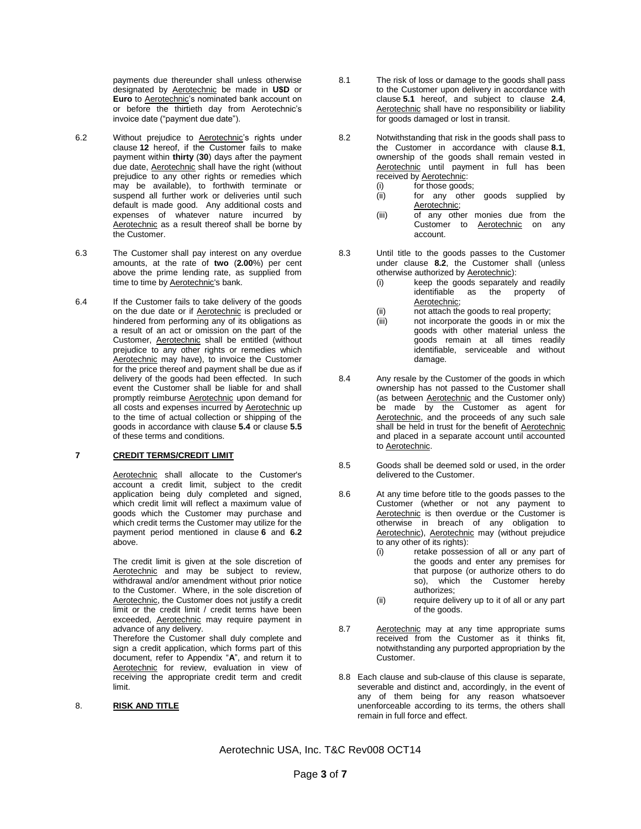payments due thereunder shall unless otherwise designated by Aerotechnic be made in **U\$D** or **Euro** to Aerotechnic's nominated bank account on or before the thirtieth day from Aerotechnic's invoice date ("payment due date").

- 6.2 Without prejudice to Aerotechnic's rights under clause **12** hereof, if the Customer fails to make payment within **thirty** (**30**) days after the payment due date, Aerotechnic shall have the right (without prejudice to any other rights or remedies which may be available), to forthwith terminate or suspend all further work or deliveries until such default is made good. Any additional costs and expenses of whatever nature incurred by Aerotechnic as a result thereof shall be borne by the Customer.
- 6.3 The Customer shall pay interest on any overdue amounts, at the rate of **two** (**2.00**%) per cent above the prime lending rate, as supplied from time to time by Aerotechnic's bank.
- 6.4 If the Customer fails to take delivery of the goods on the due date or if Aerotechnic is precluded or hindered from performing any of its obligations as a result of an act or omission on the part of the Customer, Aerotechnic shall be entitled (without prejudice to any other rights or remedies which Aerotechnic may have), to invoice the Customer for the price thereof and payment shall be due as if delivery of the goods had been effected. In such event the Customer shall be liable for and shall promptly reimburse **Aerotechnic** upon demand for all costs and expenses incurred by Aerotechnic up to the time of actual collection or shipping of the goods in accordance with clause **5.4** or clause **5.5** of these terms and conditions.

## **7 CREDIT TERMS/CREDIT LIMIT**

Aerotechnic shall allocate to the Customer's account a credit limit, subject to the credit application being duly completed and signed, which credit limit will reflect a maximum value of goods which the Customer may purchase and which credit terms the Customer may utilize for the payment period mentioned in clause **6** and **6.2** above.

The credit limit is given at the sole discretion of Aerotechnic and may be subject to review, withdrawal and/or amendment without prior notice to the Customer. Where, in the sole discretion of Aerotechnic, the Customer does not justify a credit limit or the credit limit / credit terms have been exceeded, Aerotechnic may require payment in advance of any delivery.

Therefore the Customer shall duly complete and sign a credit application, which forms part of this document, refer to Appendix "**A**", and return it to Aerotechnic for review, evaluation in view of receiving the appropriate credit term and credit limit.

#### 8. **RISK AND TITLE**

- 8.1 The risk of loss or damage to the goods shall pass to the Customer upon delivery in accordance with clause **5.1** hereof, and subject to clause **2.4**, Aerotechnic shall have no responsibility or liability for goods damaged or lost in transit.
- 8.2 Notwithstanding that risk in the goods shall pass to the Customer in accordance with clause **8.1**, ownership of the goods shall remain vested in Aerotechnic until payment in full has been received by Aerotechnic:
	- (i) for those goods;
	- (ii) for any other goods supplied by Aerotechnic;
	- (iii) of any other monies due from the Customer to Aerotechnic on any account.
- 8.3 Until title to the goods passes to the Customer under clause **8.2**, the Customer shall (unless otherwise authorized by Aerotechnic):
	- (i) keep the goods separately and readily identifiable as the property of Aerotechnic;
	- (ii) not attach the goods to real property;<br>(iii) not incorporate the goods in or mix
	- not incorporate the goods in or mix the goods with other material unless the goods remain at all times readily identifiable, serviceable and without damage.
- 8.4 Any resale by the Customer of the goods in which ownership has not passed to the Customer shall (as between Aerotechnic and the Customer only) be made by the Customer as agent for Aerotechnic, and the proceeds of any such sale shall be held in trust for the benefit of Aerotechnic and placed in a separate account until accounted to Aerotechnic.
- 8.5 Goods shall be deemed sold or used, in the order delivered to the Customer.
- 8.6 At any time before title to the goods passes to the Customer (whether or not any payment to Aerotechnic is then overdue or the Customer is otherwise in breach of any obligation to Aerotechnic), Aerotechnic may (without prejudice to any other of its rights):
	- (i) retake possession of all or any part of the goods and enter any premises for that purpose (or authorize others to do so), which the Customer hereby authorizes;
	- (ii) require delivery up to it of all or any part of the goods.
- 8.7 Aerotechnic may at any time appropriate sums received from the Customer as it thinks fit, notwithstanding any purported appropriation by the Customer.
- 8.8 Each clause and sub-clause of this clause is separate, severable and distinct and, accordingly, in the event of any of them being for any reason whatsoever unenforceable according to its terms, the others shall remain in full force and effect.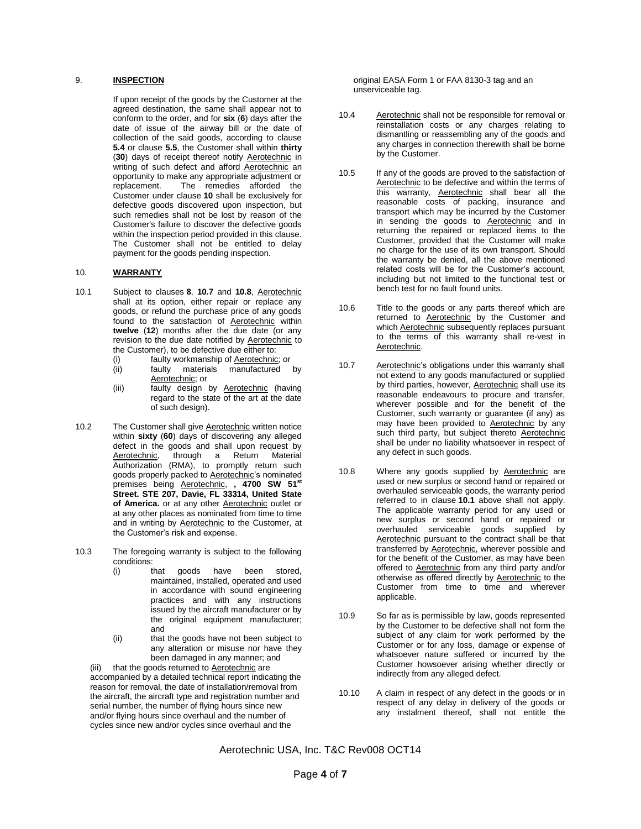#### 9. **INSPECTION**

If upon receipt of the goods by the Customer at the agreed destination, the same shall appear not to conform to the order, and for **six** (**6**) days after the date of issue of the airway bill or the date of collection of the said goods, according to clause **5.4** or clause **5.5**, the Customer shall within **thirty** (**30**) days of receipt thereof notify Aerotechnic in writing of such defect and afford Aerotechnic an opportunity to make any appropriate adjustment or<br>replacement. The remedies afforded the The remedies afforded the Customer under clause **10** shall be exclusively for defective goods discovered upon inspection, but such remedies shall not be lost by reason of the Customer's failure to discover the defective goods within the inspection period provided in this clause. The Customer shall not be entitled to delay payment for the goods pending inspection.

# 10. **WARRANTY**

- 10.1 Subject to clauses **8**, **10.7** and **10.8**, Aerotechnic shall at its option, either repair or replace any goods, or refund the purchase price of any goods found to the satisfaction of Aerotechnic within **twelve** (**12**) months after the due date (or any revision to the due date notified by Aerotechnic to the Customer), to be defective due either to:
	- (i) faulty workmanship of Aerotechnic; or (ii) faulty materials manufactured by Aerotechnic; or
	- (iii) faulty design by **Aerotechnic** (having regard to the state of the art at the date of such design).
- 10.2 The Customer shall give **Aerotechnic** written notice within **sixty** (**60**) days of discovering any alleged defect in the goods and shall upon request by<br>Aerotechnic, through a Return Material through a Return Material Authorization (RMA), to promptly return such goods properly packed to Aerotechnic's nominated premises being Aerotechnic, **, 4700 SW 51st Street. STE 207, Davie, FL 33314, United State of America.** or at any other Aerotechnic outlet or at any other places as nominated from time to time and in writing by Aerotechnic to the Customer, at the Customer's risk and expense.
- 10.3 The foregoing warranty is subject to the following conditions:<br>(i) that
	- (i) that goods have been stored, maintained, installed, operated and used in accordance with sound engineering practices and with any instructions issued by the aircraft manufacturer or by the original equipment manufacturer; and
	- (ii) that the goods have not been subject to any alteration or misuse nor have they been damaged in any manner; and

(iii) that the goods returned to Aerotechnic are accompanied by a detailed technical report indicating the reason for removal, the date of installation/removal from the aircraft, the aircraft type and registration number and serial number, the number of flying hours since new and/or flying hours since overhaul and the number of cycles since new and/or cycles since overhaul and the

original EASA Form 1 or FAA 8130-3 tag and an unserviceable tag.

- 10.4 Aerotechnic shall not be responsible for removal or reinstallation costs or any charges relating to dismantling or reassembling any of the goods and any charges in connection therewith shall be borne by the Customer.
- 10.5 If any of the goods are proved to the satisfaction of Aerotechnic to be defective and within the terms of this warranty, Aerotechnic shall bear all the reasonable costs of packing, insurance and transport which may be incurred by the Customer in sending the goods to Aerotechnic and in returning the repaired or replaced items to the Customer, provided that the Customer will make no charge for the use of its own transport. Should the warranty be denied, all the above mentioned related costs will be for the Customer's account, including but not limited to the functional test or bench test for no fault found units.
- 10.6 Title to the goods or any parts thereof which are returned to Aerotechnic by the Customer and which **Aerotechnic** subsequently replaces pursuant to the terms of this warranty shall re-vest in Aerotechnic.
- 10.7 Aerotechnic's obligations under this warranty shall not extend to any goods manufactured or supplied by third parties, however, Aerotechnic shall use its reasonable endeavours to procure and transfer, wherever possible and for the benefit of the Customer, such warranty or guarantee (if any) as may have been provided to Aerotechnic by any such third party, but subject thereto Aerotechnic shall be under no liability whatsoever in respect of any defect in such goods.
- 10.8 Where any goods supplied by Aerotechnic are used or new surplus or second hand or repaired or overhauled serviceable goods, the warranty period referred to in clause **10.1** above shall not apply. The applicable warranty period for any used or new surplus or second hand or repaired or overhauled serviceable goods supplied by Aerotechnic pursuant to the contract shall be that transferred by Aerotechnic, wherever possible and for the benefit of the Customer, as may have been offered to Aerotechnic from any third party and/or otherwise as offered directly by Aerotechnic to the Customer from time to time and wherever applicable.
- 10.9 So far as is permissible by law, goods represented by the Customer to be defective shall not form the subject of any claim for work performed by the Customer or for any loss, damage or expense of whatsoever nature suffered or incurred by the Customer howsoever arising whether directly or indirectly from any alleged defect.
- 10.10 A claim in respect of any defect in the goods or in respect of any delay in delivery of the goods or any instalment thereof, shall not entitle the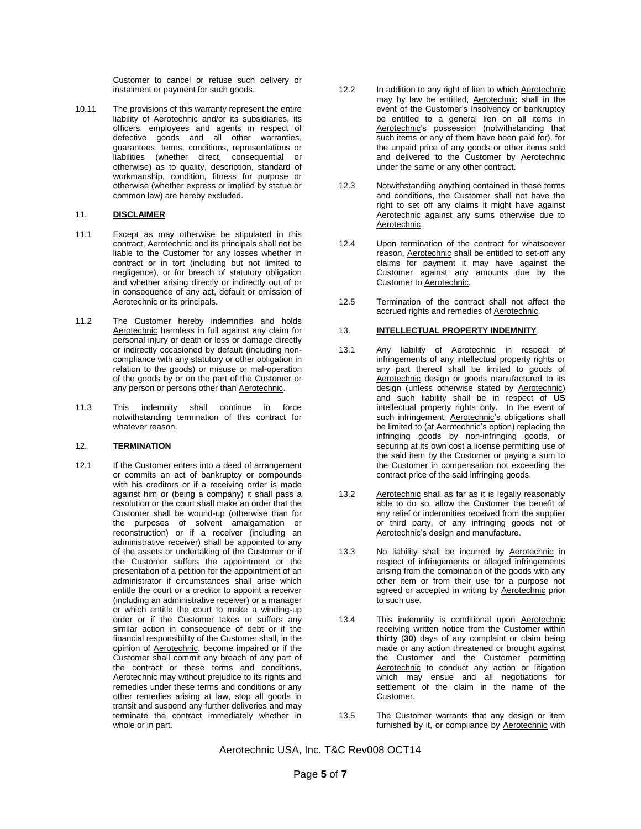Customer to cancel or refuse such delivery or instalment or payment for such goods.

10.11 The provisions of this warranty represent the entire liability of **Aerotechnic** and/or its subsidiaries, its officers, employees and agents in respect of defective goods and all other warranties, guarantees, terms, conditions, representations or liabilities (whether direct, consequential or otherwise) as to quality, description, standard of workmanship, condition, fitness for purpose or otherwise (whether express or implied by statue or common law) are hereby excluded.

## 11. **DISCLAIMER**

- 11.1 Except as may otherwise be stipulated in this contract, Aerotechnic and its principals shall not be liable to the Customer for any losses whether in contract or in tort (including but not limited to negligence), or for breach of statutory obligation and whether arising directly or indirectly out of or in consequence of any act, default or omission of Aerotechnic or its principals.
- 11.2 The Customer hereby indemnifies and holds Aerotechnic harmless in full against any claim for personal injury or death or loss or damage directly or indirectly occasioned by default (including noncompliance with any statutory or other obligation in relation to the goods) or misuse or mal-operation of the goods by or on the part of the Customer or any person or persons other than Aerotechnic.
- 11.3 This indemnity shall continue in force notwithstanding termination of this contract for whatever reason.

### 12. **TERMINATION**

12.1 If the Customer enters into a deed of arrangement or commits an act of bankruptcy or compounds with his creditors or if a receiving order is made against him or (being a company) it shall pass a resolution or the court shall make an order that the Customer shall be wound-up (otherwise than for the purposes of solvent amalgamation or reconstruction) or if a receiver (including an administrative receiver) shall be appointed to any of the assets or undertaking of the Customer or if the Customer suffers the appointment or the presentation of a petition for the appointment of an administrator if circumstances shall arise which entitle the court or a creditor to appoint a receiver (including an administrative receiver) or a manager or which entitle the court to make a winding-up order or if the Customer takes or suffers any similar action in consequence of debt or if the financial responsibility of the Customer shall, in the opinion of Aerotechnic, become impaired or if the Customer shall commit any breach of any part of the contract or these terms and conditions, Aerotechnic may without prejudice to its rights and remedies under these terms and conditions or any other remedies arising at law, stop all goods in transit and suspend any further deliveries and may terminate the contract immediately whether in whole or in part.

- 12.2 In addition to any right of lien to which Aerotechnic may by law be entitled, Aerotechnic shall in the event of the Customer's insolvency or bankruptcy be entitled to a general lien on all items in Aerotechnic's possession (notwithstanding that such items or any of them have been paid for), for the unpaid price of any goods or other items sold and delivered to the Customer by Aerotechnic under the same or any other contract.
- 12.3 Notwithstanding anything contained in these terms and conditions, the Customer shall not have the right to set off any claims it might have against Aerotechnic against any sums otherwise due to Aerotechnic.
- 12.4 Upon termination of the contract for whatsoever reason, Aerotechnic shall be entitled to set-off any claims for payment it may have against the Customer against any amounts due by the Customer to Aerotechnic.
- 12.5 Termination of the contract shall not affect the accrued rights and remedies of Aerotechnic.

#### 13. **INTELLECTUAL PROPERTY INDEMNITY**

- 13.1 Any liability of Aerotechnic in respect of infringements of any intellectual property rights or any part thereof shall be limited to goods of Aerotechnic design or goods manufactured to its design (unless otherwise stated by Aerotechnic) and such liability shall be in respect of **US** intellectual property rights only. In the event of such infringement, Aerotechnic's obligations shall be limited to (at Aerotechnic's option) replacing the infringing goods by non-infringing goods, or securing at its own cost a license permitting use of the said item by the Customer or paying a sum to the Customer in compensation not exceeding the contract price of the said infringing goods.
- 13.2 Aerotechnic shall as far as it is legally reasonably able to do so, allow the Customer the benefit of any relief or indemnities received from the supplier or third party, of any infringing goods not of Aerotechnic's design and manufacture.
- 13.3 No liability shall be incurred by Aerotechnic in respect of infringements or alleged infringements arising from the combination of the goods with any other item or from their use for a purpose not agreed or accepted in writing by Aerotechnic prior to such use.
- 13.4 This indemnity is conditional upon Aerotechnic receiving written notice from the Customer within **thirty** (**30**) days of any complaint or claim being made or any action threatened or brought against the Customer and the Customer permitting Aerotechnic to conduct any action or litigation which may ensue and all negotiations for settlement of the claim in the name of the Customer.
- 13.5 The Customer warrants that any design or item furnished by it, or compliance by Aerotechnic with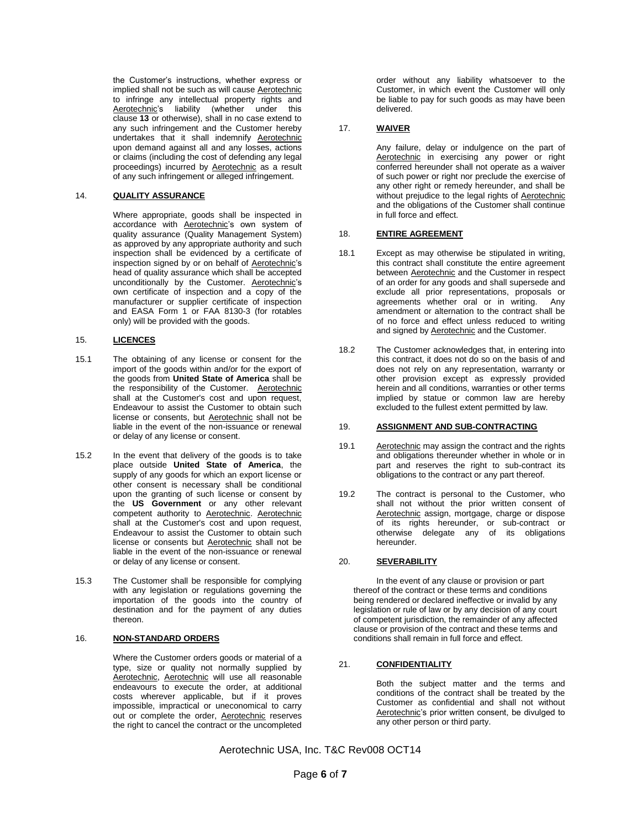the Customer's instructions, whether express or implied shall not be such as will cause Aerotechnic to infringe any intellectual property rights and Aerotechnic's liability (whether under this clause **13** or otherwise), shall in no case extend to any such infringement and the Customer hereby undertakes that it shall indemnify Aerotechnic upon demand against all and any losses, actions or claims (including the cost of defending any legal proceedings) incurred by Aerotechnic as a result of any such infringement or alleged infringement.

## 14. **QUALITY ASSURANCE**

Where appropriate, goods shall be inspected in accordance with Aerotechnic's own system of quality assurance (Quality Management System) as approved by any appropriate authority and such inspection shall be evidenced by a certificate of inspection signed by or on behalf of Aerotechnic's head of quality assurance which shall be accepted unconditionally by the Customer. Aerotechnic's own certificate of inspection and a copy of the manufacturer or supplier certificate of inspection and EASA Form 1 or FAA 8130-3 (for rotables only) will be provided with the goods.

## 15. **LICENCES**

- 15.1 The obtaining of any license or consent for the import of the goods within and/or for the export of the goods from **United State of America** shall be the responsibility of the Customer. Aerotechnic shall at the Customer's cost and upon request, Endeavour to assist the Customer to obtain such license or consents, but Aerotechnic shall not be liable in the event of the non-issuance or renewal or delay of any license or consent.
- 15.2 In the event that delivery of the goods is to take place outside **United State of America**, the supply of any goods for which an export license or other consent is necessary shall be conditional upon the granting of such license or consent by the **US Government** or any other relevant competent authority to Aerotechnic. Aerotechnic shall at the Customer's cost and upon request. Endeavour to assist the Customer to obtain such license or consents but **Aerotechnic** shall not be liable in the event of the non-issuance or renewal or delay of any license or consent.
- 15.3 The Customer shall be responsible for complying with any legislation or regulations governing the importation of the goods into the country of destination and for the payment of any duties thereon.

## 16. **NON-STANDARD ORDERS**

Where the Customer orders goods or material of a type, size or quality not normally supplied by Aerotechnic, Aerotechnic will use all reasonable endeavours to execute the order, at additional costs wherever applicable, but if it proves impossible, impractical or uneconomical to carry out or complete the order, Aerotechnic reserves the right to cancel the contract or the uncompleted

order without any liability whatsoever to the Customer, in which event the Customer will only be liable to pay for such goods as may have been delivered.

## 17. **WAIVER**

Any failure, delay or indulgence on the part of Aerotechnic in exercising any power or right conferred hereunder shall not operate as a waiver of such power or right nor preclude the exercise of any other right or remedy hereunder, and shall be without prejudice to the legal rights of Aerotechnic and the obligations of the Customer shall continue in full force and effect.

### 18. **ENTIRE AGREEMENT**

- 18.1 Except as may otherwise be stipulated in writing, this contract shall constitute the entire agreement between Aerotechnic and the Customer in respect of an order for any goods and shall supersede and exclude all prior representations, proposals or agreements whether oral or in writing. Any amendment or alternation to the contract shall be of no force and effect unless reduced to writing and signed by **Aerotechnic** and the Customer.
- 18.2 The Customer acknowledges that, in entering into this contract, it does not do so on the basis of and does not rely on any representation, warranty or other provision except as expressly provided herein and all conditions, warranties or other terms implied by statue or common law are hereby excluded to the fullest extent permitted by law.

### 19. **ASSIGNMENT AND SUB-CONTRACTING**

- 19.1 Aerotechnic may assign the contract and the rights and obligations thereunder whether in whole or in part and reserves the right to sub-contract its obligations to the contract or any part thereof.
- 19.2 The contract is personal to the Customer, who shall not without the prior written consent of Aerotechnic assign, mortgage, charge or dispose of its rights hereunder, or sub-contract or otherwise delegate any of its obligations hereunder.

### 20. **SEVERABILITY**

In the event of any clause or provision or part thereof of the contract or these terms and conditions being rendered or declared ineffective or invalid by any legislation or rule of law or by any decision of any court of competent jurisdiction, the remainder of any affected clause or provision of the contract and these terms and conditions shall remain in full force and effect.

## 21. **CONFIDENTIALITY**

Both the subject matter and the terms and conditions of the contract shall be treated by the Customer as confidential and shall not without Aerotechnic's prior written consent, be divulged to any other person or third party.